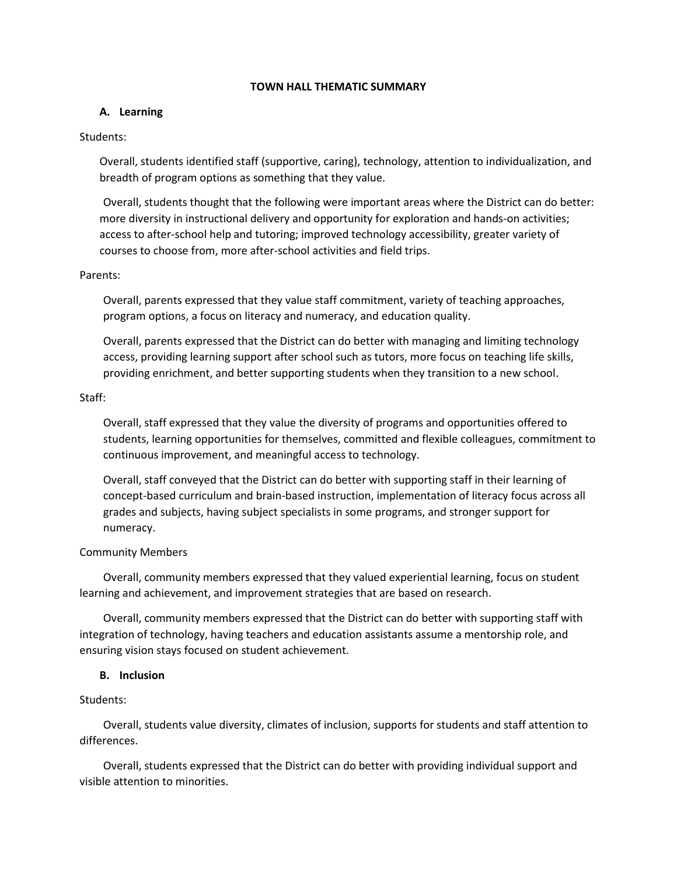## **TOWN HALL THEMATIC SUMMARY**

# **A. Learning**

# Students:

Overall, students identified staff (supportive, caring), technology, attention to individualization, and breadth of program options as something that they value.

Overall, students thought that the following were important areas where the District can do better: more diversity in instructional delivery and opportunity for exploration and hands-on activities; access to after-school help and tutoring; improved technology accessibility, greater variety of courses to choose from, more after-school activities and field trips.

## Parents:

Overall, parents expressed that they value staff commitment, variety of teaching approaches, program options, a focus on literacy and numeracy, and education quality.

Overall, parents expressed that the District can do better with managing and limiting technology access, providing learning support after school such as tutors, more focus on teaching life skills, providing enrichment, and better supporting students when they transition to a new school.

## Staff:

Overall, staff expressed that they value the diversity of programs and opportunities offered to students, learning opportunities for themselves, committed and flexible colleagues, commitment to continuous improvement, and meaningful access to technology.

Overall, staff conveyed that the District can do better with supporting staff in their learning of concept-based curriculum and brain-based instruction, implementation of literacy focus across all grades and subjects, having subject specialists in some programs, and stronger support for numeracy.

# Community Members

Overall, community members expressed that they valued experiential learning, focus on student learning and achievement, and improvement strategies that are based on research.

Overall, community members expressed that the District can do better with supporting staff with integration of technology, having teachers and education assistants assume a mentorship role, and ensuring vision stays focused on student achievement.

# **B. Inclusion**

# Students:

Overall, students value diversity, climates of inclusion, supports for students and staff attention to differences.

Overall, students expressed that the District can do better with providing individual support and visible attention to minorities.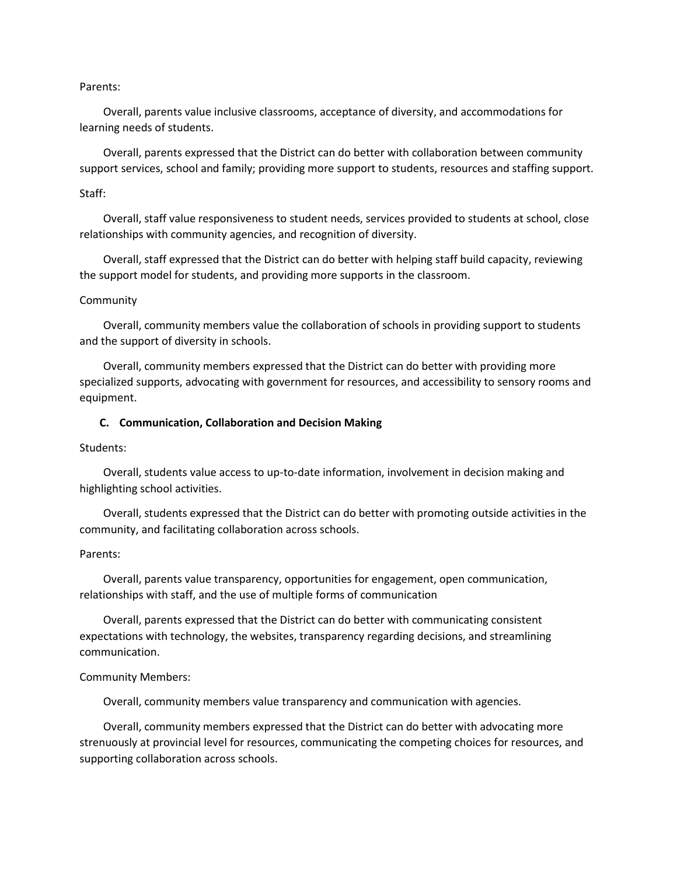### Parents:

Overall, parents value inclusive classrooms, acceptance of diversity, and accommodations for learning needs of students.

Overall, parents expressed that the District can do better with collaboration between community support services, school and family; providing more support to students, resources and staffing support.

### Staff:

Overall, staff value responsiveness to student needs, services provided to students at school, close relationships with community agencies, and recognition of diversity.

Overall, staff expressed that the District can do better with helping staff build capacity, reviewing the support model for students, and providing more supports in the classroom.

#### Community

Overall, community members value the collaboration of schools in providing support to students and the support of diversity in schools.

Overall, community members expressed that the District can do better with providing more specialized supports, advocating with government for resources, and accessibility to sensory rooms and equipment.

#### **C. Communication, Collaboration and Decision Making**

### Students:

Overall, students value access to up-to-date information, involvement in decision making and highlighting school activities.

Overall, students expressed that the District can do better with promoting outside activities in the community, and facilitating collaboration across schools.

### Parents:

Overall, parents value transparency, opportunities for engagement, open communication, relationships with staff, and the use of multiple forms of communication

Overall, parents expressed that the District can do better with communicating consistent expectations with technology, the websites, transparency regarding decisions, and streamlining communication.

#### Community Members:

Overall, community members value transparency and communication with agencies.

Overall, community members expressed that the District can do better with advocating more strenuously at provincial level for resources, communicating the competing choices for resources, and supporting collaboration across schools.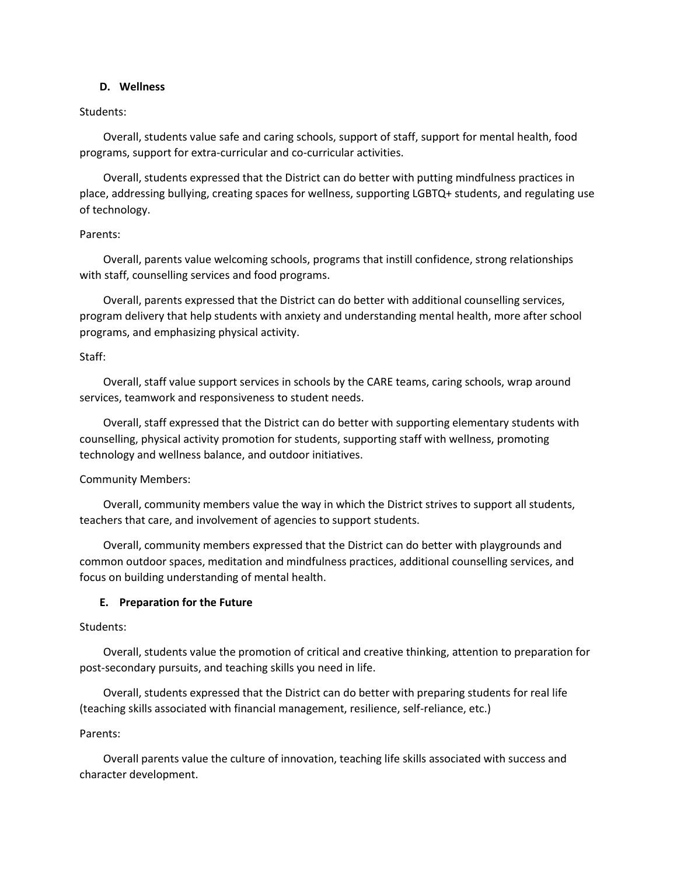## **D. Wellness**

## Students:

Overall, students value safe and caring schools, support of staff, support for mental health, food programs, support for extra-curricular and co-curricular activities.

Overall, students expressed that the District can do better with putting mindfulness practices in place, addressing bullying, creating spaces for wellness, supporting LGBTQ+ students, and regulating use of technology.

## Parents:

Overall, parents value welcoming schools, programs that instill confidence, strong relationships with staff, counselling services and food programs.

Overall, parents expressed that the District can do better with additional counselling services, program delivery that help students with anxiety and understanding mental health, more after school programs, and emphasizing physical activity.

## Staff:

Overall, staff value support services in schools by the CARE teams, caring schools, wrap around services, teamwork and responsiveness to student needs.

Overall, staff expressed that the District can do better with supporting elementary students with counselling, physical activity promotion for students, supporting staff with wellness, promoting technology and wellness balance, and outdoor initiatives.

# Community Members:

Overall, community members value the way in which the District strives to support all students, teachers that care, and involvement of agencies to support students.

Overall, community members expressed that the District can do better with playgrounds and common outdoor spaces, meditation and mindfulness practices, additional counselling services, and focus on building understanding of mental health.

# **E. Preparation for the Future**

## Students:

Overall, students value the promotion of critical and creative thinking, attention to preparation for post-secondary pursuits, and teaching skills you need in life.

Overall, students expressed that the District can do better with preparing students for real life (teaching skills associated with financial management, resilience, self-reliance, etc.)

# Parents:

Overall parents value the culture of innovation, teaching life skills associated with success and character development.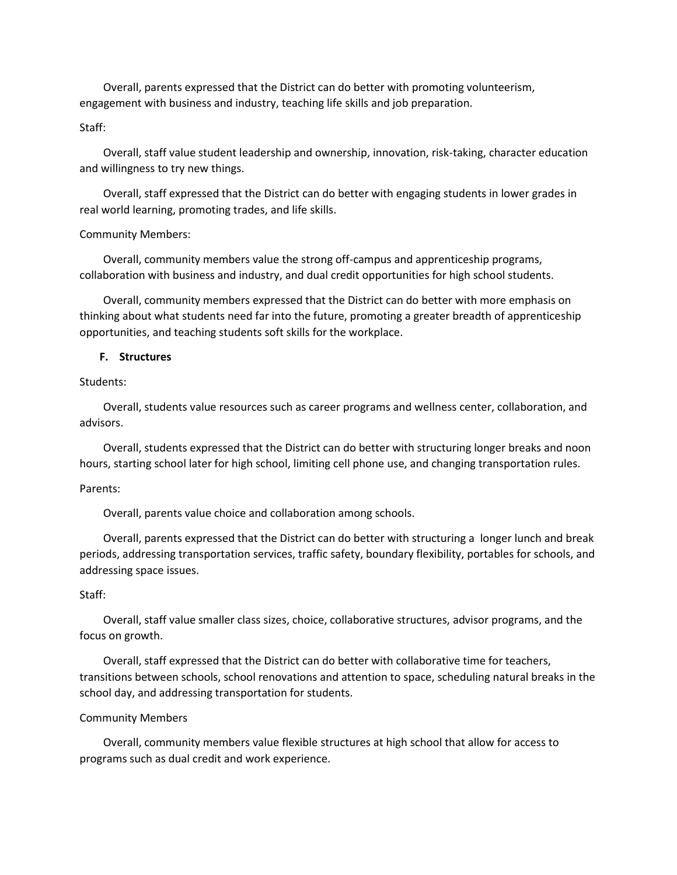Overall, parents expressed that the District can do better with promoting volunteerism, engagement with business and industry, teaching life skills and job preparation.

## Staff:

Overall, staff value student leadership and ownership, innovation, risk-taking, character education and willingness to try new things.

Overall, staff expressed that the District can do better with engaging students in lower grades in real world learning, promoting trades, and life skills.

#### Community Members:

Overall, community members value the strong off-campus and apprenticeship programs, collaboration with business and industry, and dual credit opportunities for high school students.

Overall, community members expressed that the District can do better with more emphasis on thinking about what students need far into the future, promoting a greater breadth of apprenticeship opportunities, and teaching students soft skills for the workplace.

### **F. Structures**

## Students:

Overall, students value resources such as career programs and wellness center, collaboration, and advisors.

Overall, students expressed that the District can do better with structuring longer breaks and noon hours, starting school later for high school, limiting cell phone use, and changing transportation rules.

#### Parents:

Overall, parents value choice and collaboration among schools.

Overall, parents expressed that the District can do better with structuring a longer lunch and break periods, addressing transportation services, traffic safety, boundary flexibility, portables for schools, and addressing space issues.

#### Staff:

Overall, staff value smaller class sizes, choice, collaborative structures, advisor programs, and the focus on growth.

Overall, staff expressed that the District can do better with collaborative time for teachers, transitions between schools, school renovations and attention to space, scheduling natural breaks in the school day, and addressing transportation for students.

#### Community Members

Overall, community members value flexible structures at high school that allow for access to programs such as dual credit and work experience.